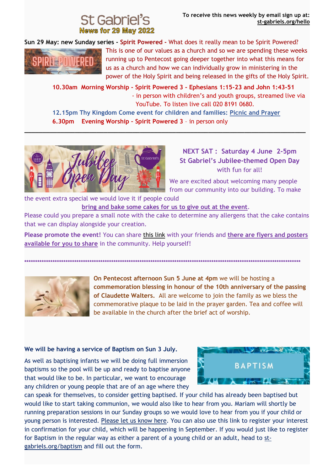## **News for 29 May 2022**

**Sun 29 May: new Sunday series - Spirit Powered -** What does it really mean to be Spirit Powered?



This is one of our values as a church and so we are spending these weeks running up to Pentecost going deeper together into what this means for us as a church and how we can individually grow in ministering in the power of the Holy Spirit and being released in the gifts of the Holy Spirit.

 **10.30am Morning Worship - Spirit Powered 3 - Ephesians 1:15-23 and John 1:43-51** - in person with children's and youth groups, streamed live via YouTube. To listen live call 020 8191 0680.

 **12.15pm Thy Kingdom Come event for children and families: [Picnic and Prayer](https://stgabrielscricklewood.churchsuite.com/events/7r1oalul) 6.30pm Evening Worship – Spirit Powered 3** – in person only

**\_\_\_\_\_\_\_\_\_\_\_\_\_\_\_\_\_\_\_\_\_\_\_\_\_\_\_\_\_\_\_\_\_\_\_\_\_\_\_\_\_\_\_\_\_\_\_\_\_\_\_\_\_\_\_\_\_\_\_\_\_\_\_\_\_\_\_\_\_\_\_\_\_\_\_\_\_\_**



**NEXT SAT : Saturday 4 June 2-5pm St Gabriel's Jubilee-themed Open Day** with fun for all!

We are excited about welcoming many people from our community into our building. To make

the event extra special we would love it if people could  **bring and bake some cakes for us to give out at the event**.

Please could you prepare a small note with the cake to determine any allergens that the cake contains that we can display alongside your creation.

**Please promote the event!** You can share [this link](https://st-gabriels.us19.list-manage.com/track/click?u=8be6c1f9211f8d2b867be0c19&id=094692ec8c&e=8fbea94df1) with your friends and **there are flyers and posters available for you to share** in the community. Help yourself!

**\*\*\*\*\*\*\*\*\*\*\*\*\*\*\*\*\*\*\*\*\*\*\*\*\*\*\*\*\*\*\*\*\*\*\*\*\*\*\*\*\*\*\*\*\*\*\*\*\*\*\*\*\*\*\*\*\*\*\*\*\*\*\*\*\*\*\*\*\*\*\*\*\*\*\*\*\*\*\*\*\*\*\*\*\*\*\*\*\*\*\*\*\*\*\*\*\*\*\*\*\*\*\*\*\*\*\*\*\*\*\*\*\*\*\*\*\*\*\*\*\*\*\*\*\*\*\***



**On Pentecost afternoon Sun 5 June at 4pm** we will be hosting a **commemoration blessing in honour of the 10th anniversary of the passing of Claudette Walters.** All are welcome to join the family as we bless the commemorative plaque to be laid in the prayer garden. Tea and coffee will be available in the church after the brief act of worship.

## **We will be having a service of Baptism on Sun 3 July.**

As well as baptising infants we will be doing full immersion baptisms so the pool will be up and ready to baptise anyone that would like to be. In particular, we want to encourage any children or young people that are of an age where they



can speak for themselves, to consider getting baptised. If your child has already been baptised but would like to start taking communion, we would also like to hear from you. Mariam will shortly be running preparation sessions in our Sunday groups so we would love to hear from you if your child or young person is interested. [Please let us know here.](https://st-gabriels.us19.list-manage.com/track/click?u=8be6c1f9211f8d2b867be0c19&id=8da3df9295&e=8fbea94df1) You can also use this link to register your interest in confirmation for your child, which will be happening in September. If you would just like to register for Baptism in the regular way as either a parent of a young child or an adult, head to [st](https://st-gabriels.us19.list-manage.com/track/click?u=8be6c1f9211f8d2b867be0c19&id=8869cd5845&e=8fbea94df1)[gabriels.org/baptism](https://st-gabriels.us19.list-manage.com/track/click?u=8be6c1f9211f8d2b867be0c19&id=8869cd5845&e=8fbea94df1) and fill out the form.